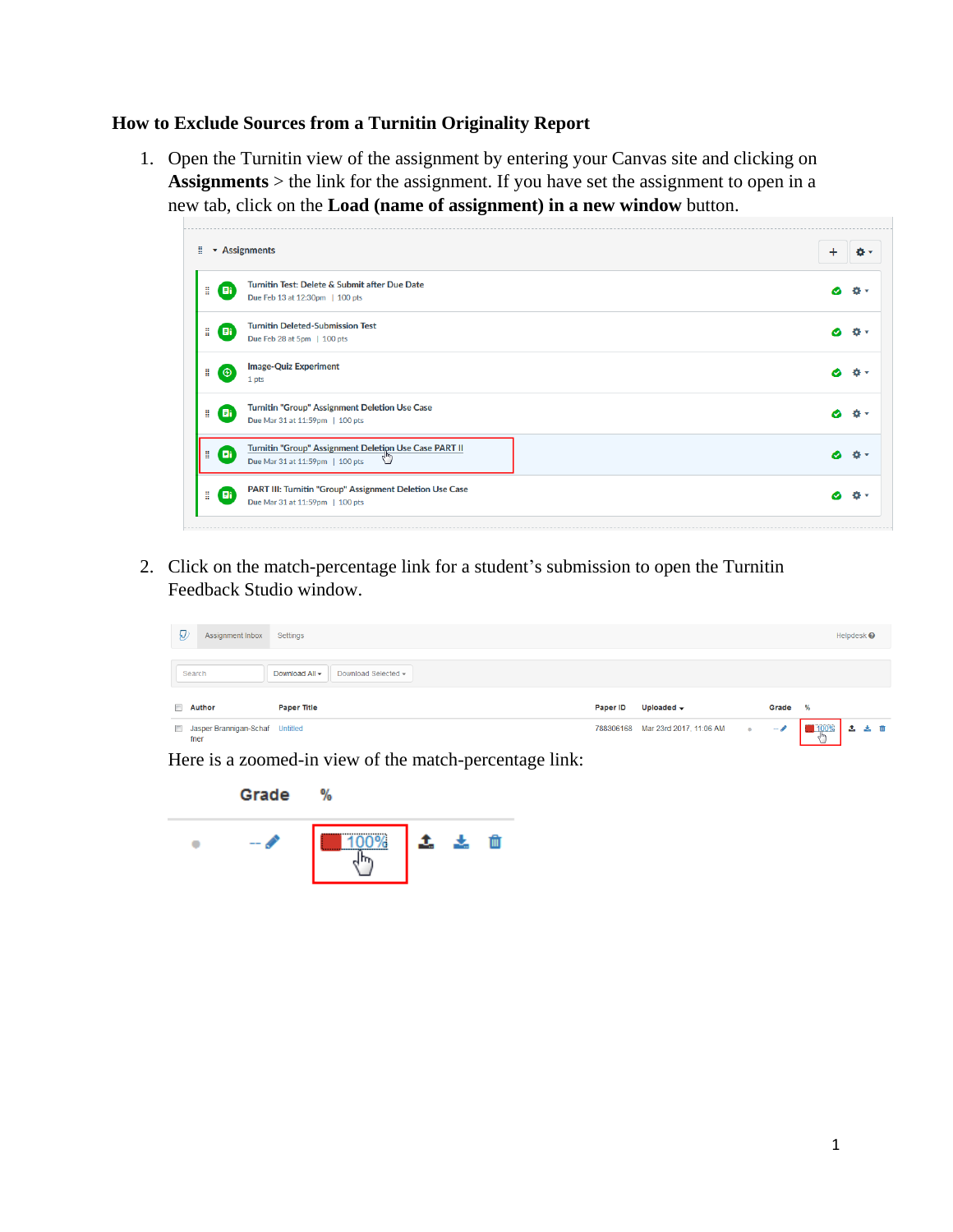## **How to Exclude Sources from a Turnitin Originality Report**

1. Open the Turnitin view of the assignment by entering your Canvas site and clicking on **Assignments** > the link for the assignment. If you have set the assignment to open in a new tab, click on the **Load (name of assignment) in a new window** button.



2. Click on the match-percentage link for a student's submission to open the Turnitin Feedback Studio window.

| Đ<br>Assignment Inbox                             | Settings                              |          |                                   |           |       |                | Helpdesk $\Theta$ |  |
|---------------------------------------------------|---------------------------------------|----------|-----------------------------------|-----------|-------|----------------|-------------------|--|
| Search                                            | Download Selected -<br>Download All - |          |                                   |           |       |                |                   |  |
| <b>Author</b><br>$\overline{\mathbb{R}^n}$        | <b>Paper Title</b>                    | Paper ID | Uploaded $\rightarrow$            |           | Grade | %              |                   |  |
| Jasper Brannigan-Schaf Untitled<br>$\Box$<br>fner |                                       |          | 788306168 Mar 23rd 2017, 11:06 AM | $\bullet$ | $-$ P | 100%<br>لإيراك | 土土面               |  |

Here is a zoomed-in view of the match-percentage link:

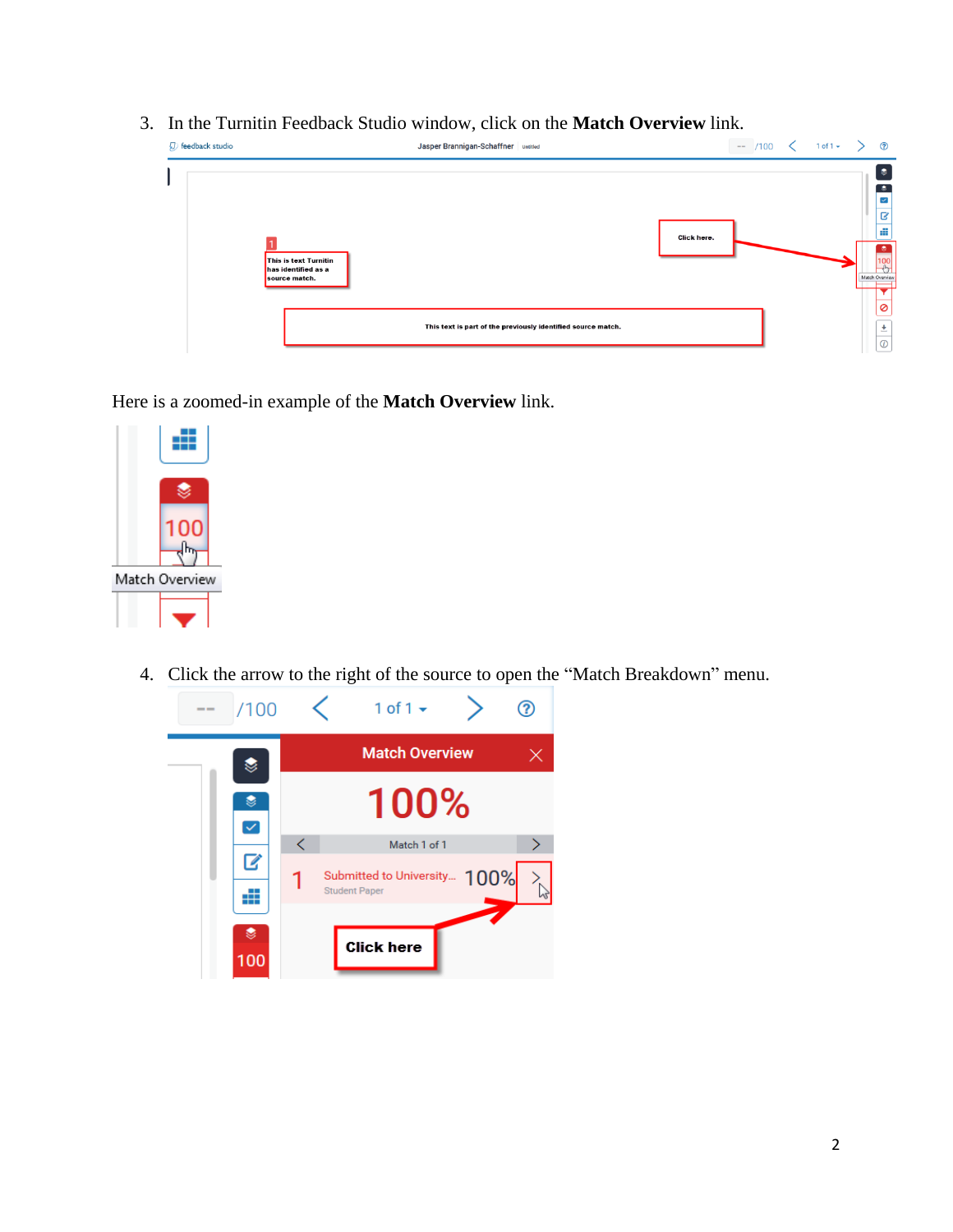3. In the Turnitin Feedback Studio window, click on the **Match Overview** link.

| D feedback studio                                             | Jasper Brannigan-Schaffner untitled                          |             | $-$ /100 $\lt$ 1 of 1 $\lt$ ) |  | $\odot$                                                                                        |
|---------------------------------------------------------------|--------------------------------------------------------------|-------------|-------------------------------|--|------------------------------------------------------------------------------------------------|
| This is text Turnitin<br>has identified as a<br>source match. |                                                              | Click here. |                               |  | $\bullet$<br>$\bullet$<br>$\blacktriangledown$<br>B<br>Æ<br>$\bullet$<br>100<br>Match Overview |
|                                                               | This text is part of the previously identified source match. |             |                               |  | 0<br>土<br>$\odot$                                                                              |

Here is a zoomed-in example of the **Match Overview** link.



4. Click the arrow to the right of the source to open the "Match Breakdown" menu.

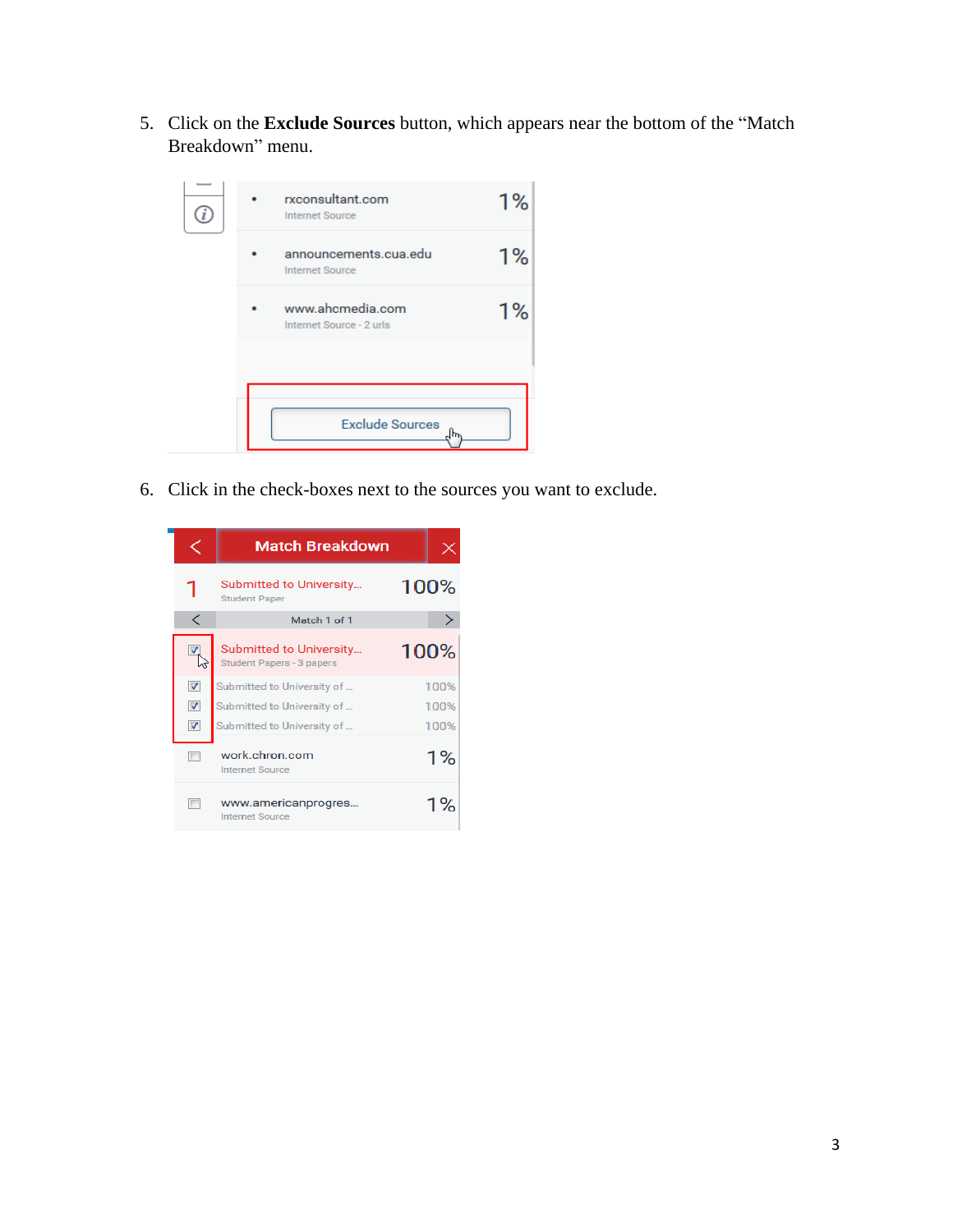5. Click on the **Exclude Sources** button, which appears near the bottom of the "Match Breakdown" menu.



6. Click in the check-boxes next to the sources you want to exclude.

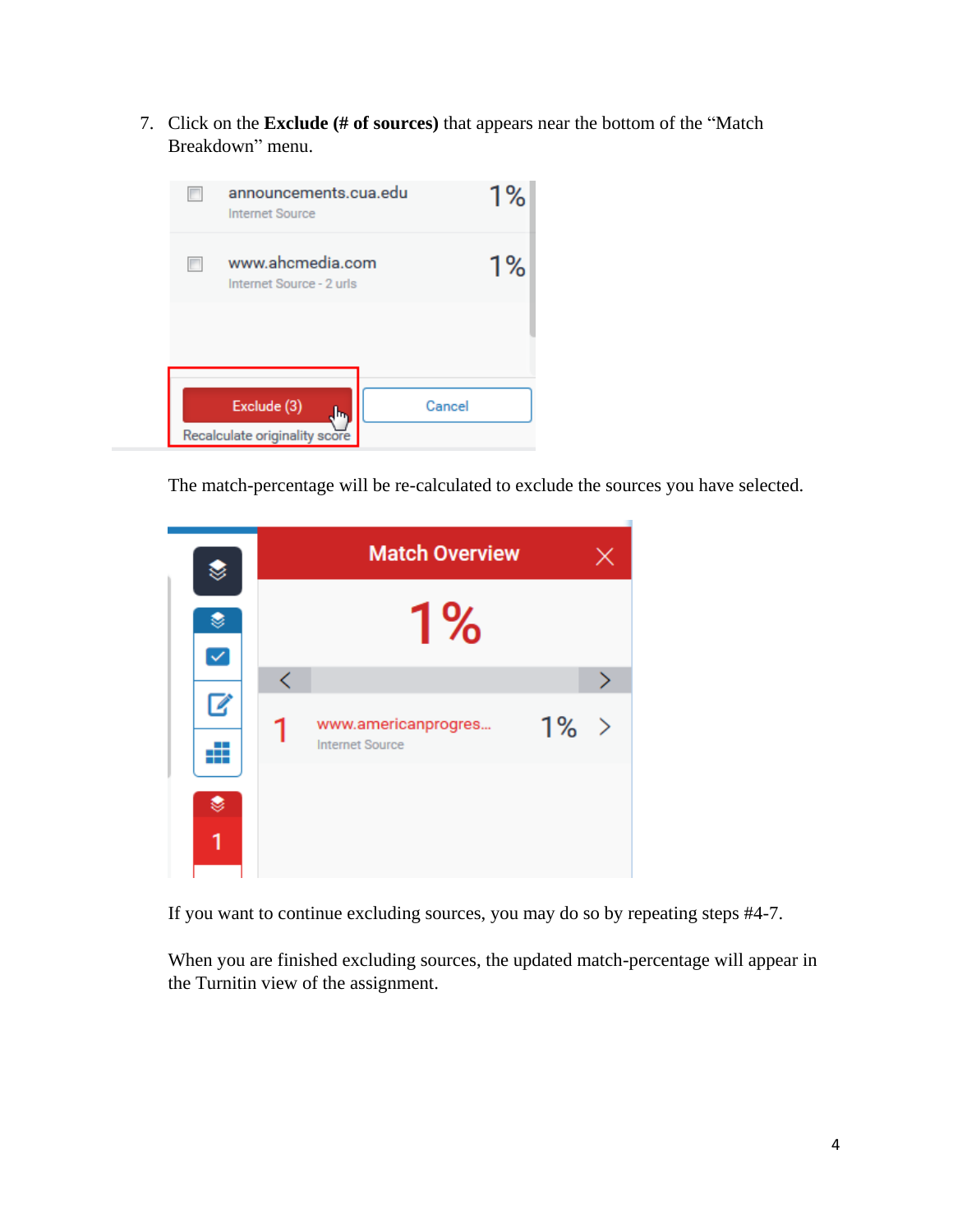7. Click on the **Exclude (# of sources)** that appears near the bottom of the "Match Breakdown" menu.



The match-percentage will be re-calculated to exclude the sources you have selected.



If you want to continue excluding sources, you may do so by repeating steps #4-7.

When you are finished excluding sources, the updated match-percentage will appear in the Turnitin view of the assignment.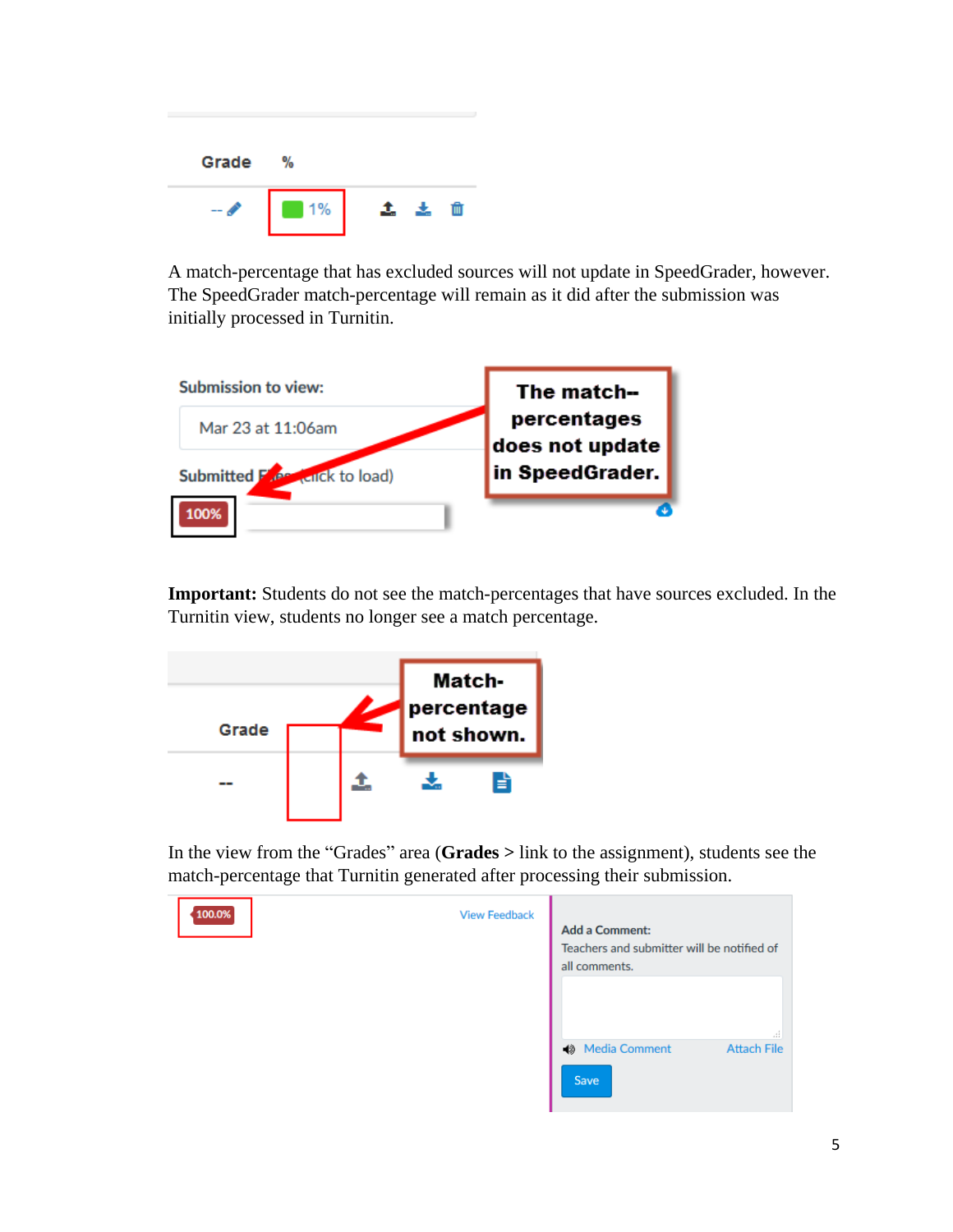| Grade | %                 |    |  |
|-------|-------------------|----|--|
|       | $\blacksquare$ 1% | Ĵ. |  |

A match-percentage that has excluded sources will not update in SpeedGrader, however. The SpeedGrader match-percentage will remain as it did after the submission was initially processed in Turnitin.



**Important:** Students do not see the match-percentages that have sources excluded. In the Turnitin view, students no longer see a match percentage.



In the view from the "Grades" area (**Grades >** link to the assignment), students see the match-percentage that Turnitin generated after processing their submission.

| 100.0% | <b>View Feedback</b> | <b>Add a Comment:</b><br>Teachers and submitter will be notified of<br>all comments. |                          |
|--------|----------------------|--------------------------------------------------------------------------------------|--------------------------|
|        |                      | <b>1</b> Media Comment<br>Save                                                       | 44<br><b>Attach File</b> |